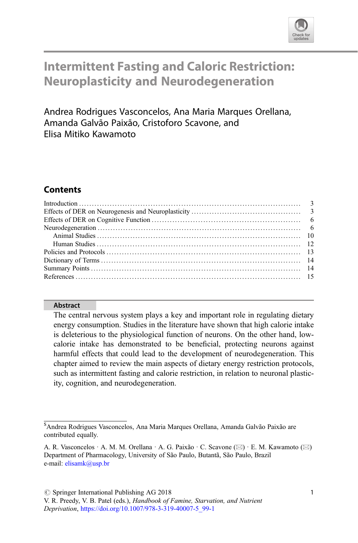

# Intermittent Fasting and Caloric Restriction: Neuroplasticity and Neurodegeneration

Andrea Rodrigues Vasconcelos, Ana Maria Marques Orellana, Amanda Galvão Paixão, Cristoforo Scavone, and Elisa Mitiko Kawamoto

# **Contents**

## Abstract

The central nervous system plays a key and important role in regulating dietary energy consumption. Studies in the literature have shown that high calorie intake is deleterious to the physiological function of neurons. On the other hand, lowcalorie intake has demonstrated to be beneficial, protecting neurons against harmful effects that could lead to the development of neurodegeneration. This chapter aimed to review the main aspects of dietary energy restriction protocols, such as intermittent fasting and calorie restriction, in relation to neuronal plasticity, cognition, and neurodegeneration.

<sup>\$</sup> Andrea Rodrigues Vasconcelos, Ana Maria Marques Orellana, Amanda Galvão Paixão are contributed equally.

A. R. Vasconcelos · A. M. M. Orellana · A. G. Paixão · C. Scavone ( $\boxtimes$ ) · E. M. Kawamoto ( $\boxtimes$ ) Department of Pharmacology, University of São Paulo, Butantã, São Paulo, Brazil e-mail: [elisamk@usp.br](mailto:elisamk@usp.br)

V. R. Preedy, V. B. Patel (eds.), Handbook of Famine, Starvation, and Nutrient Deprivation, [https://doi.org/10.1007/978-3-319-40007-5\\_99-1](https://doi.org/10.1007/978-3-319-40007-5_99-1)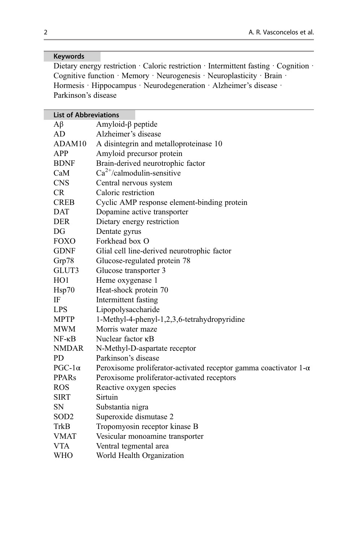## Keywords

Dietary energy restriction · Caloric restriction · Intermittent fasting · Cognition · Cognitive function · Memory · Neurogenesis · Neuroplasticity · Brain · Hormesis · Hippocampus · Neurodegeneration · Alzheimer's disease · Parkinson's disease

| <b>List of Abbreviations</b> |                                                                         |
|------------------------------|-------------------------------------------------------------------------|
| Аβ                           | Amyloid- $\beta$ peptide                                                |
| AD                           | Alzheimer's disease                                                     |
| ADAM10                       | A disintegrin and metalloproteinase 10                                  |
| <b>APP</b>                   | Amyloid precursor protein                                               |
| <b>BDNF</b>                  | Brain-derived neurotrophic factor                                       |
| CaM                          | $Ca^{2+}/calmoduli$ n-sensitive                                         |
| <b>CNS</b>                   | Central nervous system                                                  |
| CR                           | Caloric restriction                                                     |
| <b>CREB</b>                  | Cyclic AMP response element-binding protein                             |
| <b>DAT</b>                   | Dopamine active transporter                                             |
| <b>DER</b>                   | Dietary energy restriction                                              |
| DG                           | Dentate gyrus                                                           |
| <b>FOXO</b>                  | Forkhead box O                                                          |
| <b>GDNF</b>                  | Glial cell line-derived neurotrophic factor                             |
| Grp78                        | Glucose-regulated protein 78                                            |
| GLUT3                        | Glucose transporter 3                                                   |
| HO1                          | Heme oxygenase 1                                                        |
| Hsp70                        | Heat-shock protein 70                                                   |
| IF                           | Intermittent fasting                                                    |
| <b>LPS</b>                   | Lipopolysaccharide                                                      |
| <b>MPTP</b>                  | 1-Methyl-4-phenyl-1,2,3,6-tetrahydropyridine                            |
| <b>MWM</b>                   | Morris water maze                                                       |
| $NF - \kappa B$              | Nuclear factor KB                                                       |
| <b>NMDAR</b>                 | N-Methyl-D-aspartate receptor                                           |
| <b>PD</b>                    | Parkinson's disease                                                     |
| $PGC-1\alpha$                | Peroxisome proliferator-activated receptor gamma coactivator $1-\alpha$ |
| <b>PPARs</b>                 | Peroxisome proliferator-activated receptors                             |
| ROS                          | Reactive oxygen species                                                 |
| <b>SIRT</b>                  | Sirtuin                                                                 |
| SN                           | Substantia nigra                                                        |
| SOD <sub>2</sub>             | Superoxide dismutase 2                                                  |
| TrkB                         | Tropomyosin receptor kinase B                                           |
| <b>VMAT</b>                  | Vesicular monoamine transporter                                         |
| <b>VTA</b>                   | Ventral tegmental area                                                  |
| <b>WHO</b>                   | World Health Organization                                               |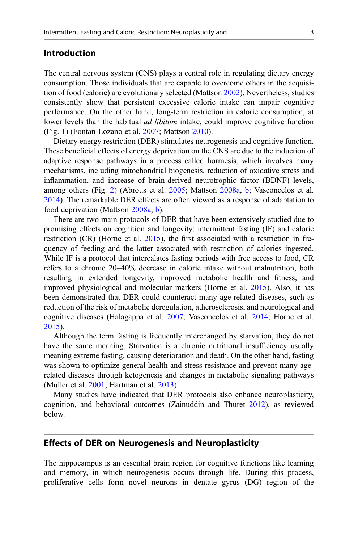#### Introduction

The central nervous system (CNS) plays a central role in regulating dietary energy consumption. Those individuals that are capable to overcome others in the acquisition of food (calorie) are evolutionary selected (Mattson [2002\)](#page-16-0). Nevertheless, studies consistently show that persistent excessive calorie intake can impair cognitive performance. On the other hand, long-term restriction in calorie consumption, at lower levels than the habitual *ad libitum* intake, could improve cognitive function (Fig. [1\)](#page-3-0) (Fontan-Lozano et al. [2007](#page-14-0); Mattson [2010\)](#page-16-0).

Dietary energy restriction (DER) stimulates neurogenesis and cognitive function. These beneficial effects of energy deprivation on the CNS are due to the induction of adaptive response pathways in a process called hormesis, which involves many mechanisms, including mitochondrial biogenesis, reduction of oxidative stress and inflammation, and increase of brain-derived neurotrophic factor (BDNF) levels, among others (Fig. [2](#page-4-0)) (Abrous et al. [2005;](#page-14-0) Mattson [2008a,](#page-16-0) [b;](#page-16-0) Vasconcelos et al. [2014\)](#page-17-0). The remarkable DER effects are often viewed as a response of adaptation to food deprivation (Mattson [2008a](#page-16-0), [b\)](#page-16-0).

There are two main protocols of DER that have been extensively studied due to promising effects on cognition and longevity: intermittent fasting (IF) and caloric restriction (CR) (Horne et al. [2015](#page-15-0)), the first associated with a restriction in frequency of feeding and the latter associated with restriction of calories ingested. While IF is a protocol that intercalates fasting periods with free access to food, CR refers to a chronic 20–40% decrease in calorie intake without malnutrition, both resulting in extended longevity, improved metabolic health and fitness, and improved physiological and molecular markers (Horne et al. [2015\)](#page-15-0). Also, it has been demonstrated that DER could counteract many age-related diseases, such as reduction of the risk of metabolic deregulation, atherosclerosis, and neurological and cognitive diseases (Halagappa et al. [2007](#page-15-0); Vasconcelos et al. [2014](#page-17-0); Horne et al. [2015\)](#page-15-0).

Although the term fasting is frequently interchanged by starvation, they do not have the same meaning. Starvation is a chronic nutritional insufficiency usually meaning extreme fasting, causing deterioration and death. On the other hand, fasting was shown to optimize general health and stress resistance and prevent many agerelated diseases through ketogenesis and changes in metabolic signaling pathways (Muller et al. [2001;](#page-16-0) Hartman et al. [2013\)](#page-15-0).

Many studies have indicated that DER protocols also enhance neuroplasticity, cognition, and behavioral outcomes (Zainuddin and Thuret [2012\)](#page-17-0), as reviewed below.

#### Effects of DER on Neurogenesis and Neuroplasticity

The hippocampus is an essential brain region for cognitive functions like learning and memory, in which neurogenesis occurs through life. During this process, proliferative cells form novel neurons in dentate gyrus (DG) region of the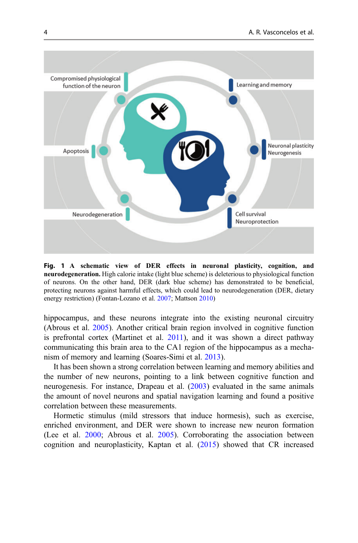<span id="page-3-0"></span>

Fig. 1 A schematic view of DER effects in neuronal plasticity, cognition, and neurodegeneration. High calorie intake (light blue scheme) is deleterious to physiological function of neurons. On the other hand, DER (dark blue scheme) has demonstrated to be beneficial, protecting neurons against harmful effects, which could lead to neurodegeneration (DER, dietary energy restriction) (Fontan-Lozano et al. [2007](#page-14-0); Mattson [2010\)](#page-16-0)

hippocampus, and these neurons integrate into the existing neuronal circuitry (Abrous et al. [2005\)](#page-14-0). Another critical brain region involved in cognitive function is prefrontal cortex (Martinet et al. [2011](#page-16-0)), and it was shown a direct pathway communicating this brain area to the CA1 region of the hippocampus as a mechanism of memory and learning (Soares-Simi et al. [2013](#page-16-0)).

It has been shown a strong correlation between learning and memory abilities and the number of new neurons, pointing to a link between cognitive function and neurogenesis. For instance, Drapeau et al. ([2003\)](#page-14-0) evaluated in the same animals the amount of novel neurons and spatial navigation learning and found a positive correlation between these measurements.

Hormetic stimulus (mild stressors that induce hormesis), such as exercise, enriched environment, and DER were shown to increase new neuron formation (Lee et al. [2000](#page-15-0); Abrous et al. [2005\)](#page-14-0). Corroborating the association between cognition and neuroplasticity, Kaptan et al. ([2015\)](#page-15-0) showed that CR increased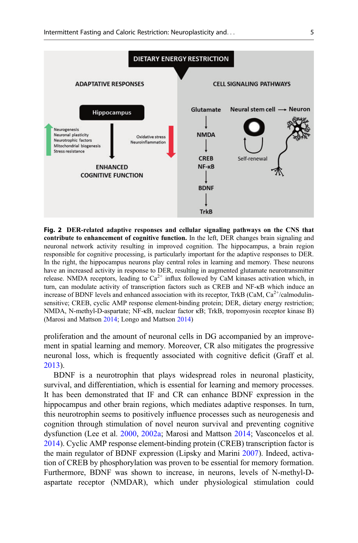<span id="page-4-0"></span>

Fig. 2 DER-related adaptive responses and cellular signaling pathways on the CNS that contribute to enhancement of cognitive function. In the left, DER changes brain signaling and neuronal network activity resulting in improved cognition. The hippocampus, a brain region responsible for cognitive processing, is particularly important for the adaptive responses to DER. In the right, the hippocampus neurons play central roles in learning and memory. These neurons have an increased activity in response to DER, resulting in augmented glutamate neurotransmitter release. NMDA receptors, leading to  $Ca^{2+}$  influx followed by CaM kinases activation which, in turn, can modulate activity of transcription factors such as CREB and NF-κB which induce an increase of BDNF levels and enhanced association with its receptor, TrkB (CaM,  $Ca^{2+}/cal$ calmodulinsensitive; CREB, cyclic AMP response element-binding protein; DER, dietary energy restriction; NMDA, N-methyl-D-aspartate; NF-κB, nuclear factor κB; TrkB, tropomyosin receptor kinase B) (Marosi and Mattson [2014](#page-16-0); Longo and Mattson [2014\)](#page-16-0)

proliferation and the amount of neuronal cells in DG accompanied by an improvement in spatial learning and memory. Moreover, CR also mitigates the progressive neuronal loss, which is frequently associated with cognitive deficit (Graff et al. [2013\)](#page-15-0).

BDNF is a neurotrophin that plays widespread roles in neuronal plasticity, survival, and differentiation, which is essential for learning and memory processes. It has been demonstrated that IF and CR can enhance BDNF expression in the hippocampus and other brain regions, which mediates adaptive responses. In turn, this neurotrophin seems to positively influence processes such as neurogenesis and cognition through stimulation of novel neuron survival and preventing cognitive dysfunction (Lee et al. [2000,](#page-15-0) [2002a;](#page-15-0) Marosi and Mattson [2014;](#page-16-0) Vasconcelos et al. [2014\)](#page-17-0). Cyclic AMP response element-binding protein (CREB) transcription factor is the main regulator of BDNF expression (Lipsky and Marini [2007\)](#page-15-0). Indeed, activation of CREB by phosphorylation was proven to be essential for memory formation. Furthermore, BDNF was shown to increase, in neurons, levels of N-methyl-Daspartate receptor (NMDAR), which under physiological stimulation could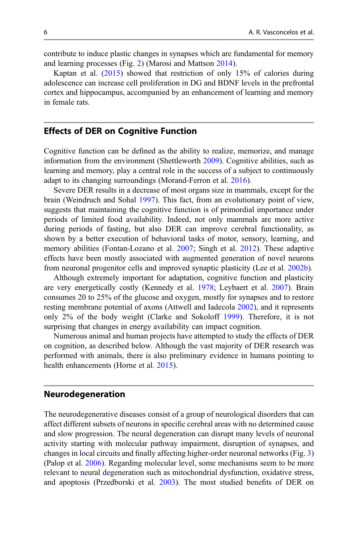contribute to induce plastic changes in synapses which are fundamental for memory and learning processes (Fig. [2](#page-4-0)) (Marosi and Mattson [2014\)](#page-16-0).

Kaptan et al. ([2015\)](#page-15-0) showed that restriction of only 15% of calories during adolescence can increase cell proliferation in DG and BDNF levels in the prefrontal cortex and hippocampus, accompanied by an enhancement of learning and memory in female rats.

## Effects of DER on Cognitive Function

Cognitive function can be defined as the ability to realize, memorize, and manage information from the environment (Shettleworth [2009](#page-16-0)). Cognitive abilities, such as learning and memory, play a central role in the success of a subject to continuously adapt to its changing surroundings (Morand-Ferron et al. [2016](#page-16-0)).

Severe DER results in a decrease of most organs size in mammals, except for the brain (Weindruch and Sohal [1997\)](#page-17-0). This fact, from an evolutionary point of view, suggests that maintaining the cognitive function is of primordial importance under periods of limited food availability. Indeed, not only mammals are more active during periods of fasting, but also DER can improve cerebral functionality, as shown by a better execution of behavioral tasks of motor, sensory, learning, and memory abilities (Fontan-Lozano et al. [2007](#page-14-0); Singh et al. [2012](#page-16-0)). These adaptive effects have been mostly associated with augmented generation of novel neurons from neuronal progenitor cells and improved synaptic plasticity (Lee et al. [2002b](#page-15-0)).

Although extremely important for adaptation, cognitive function and plasticity are very energetically costly (Kennedy et al. [1978;](#page-15-0) Leybaert et al. [2007\)](#page-15-0). Brain consumes 20 to 25% of the glucose and oxygen, mostly for synapses and to restore resting membrane potential of axons (Attwell and Iadecola [2002\)](#page-14-0), and it represents only 2% of the body weight (Clarke and Sokoloff [1999](#page-14-0)). Therefore, it is not surprising that changes in energy availability can impact cognition.

Numerous animal and human projects have attempted to study the effects of DER on cognition, as described below. Although the vast majority of DER research was performed with animals, there is also preliminary evidence in humans pointing to health enhancements (Horne et al. [2015\)](#page-15-0).

#### Neurodegeneration

The neurodegenerative diseases consist of a group of neurological disorders that can affect different subsets of neurons in specific cerebral areas with no determined cause and slow progression. The neural degeneration can disrupt many levels of neuronal activity starting with molecular pathway impairment, disruption of synapses, and changes in local circuits and finally affecting higher-order neuronal networks (Fig. [3](#page-6-0)) (Palop et al. [2006\)](#page-16-0). Regarding molecular level, some mechanisms seem to be more relevant to neural degeneration such as mitochondrial dysfunction, oxidative stress, and apoptosis (Przedborski et al. [2003\)](#page-16-0). The most studied benefits of DER on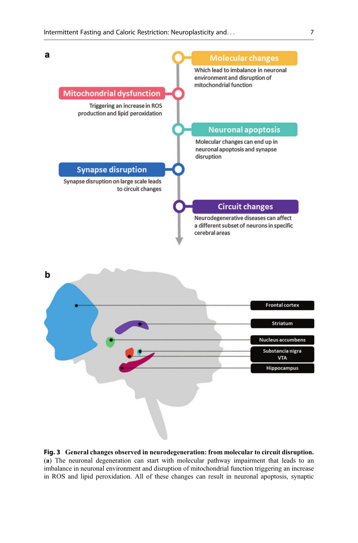<span id="page-6-0"></span>

Fig. 3 General changes observed in neurodegeneration: from molecular to circuit disruption. (a) The neuronal degeneration can start with molecular pathway impairment that leads to an imbalance in neuronal environment and disruption of mitochondrial function triggering an increase in ROS and lipid peroxidation. All of these changes can result in neuronal apoptosis, synaptic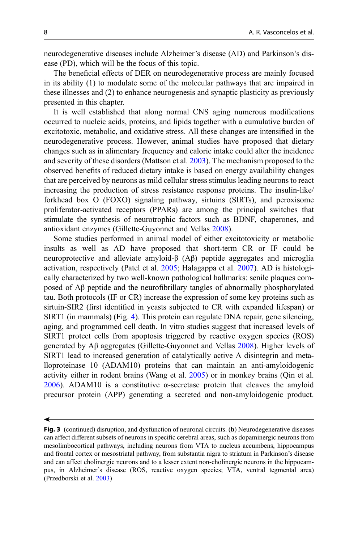neurodegenerative diseases include Alzheimer's disease (AD) and Parkinson's disease (PD), which will be the focus of this topic.

The beneficial effects of DER on neurodegenerative process are mainly focused in its ability (1) to modulate some of the molecular pathways that are impaired in these illnesses and (2) to enhance neurogenesis and synaptic plasticity as previously presented in this chapter.

It is well established that along normal CNS aging numerous modifications occurred to nucleic acids, proteins, and lipids together with a cumulative burden of excitotoxic, metabolic, and oxidative stress. All these changes are intensified in the neurodegenerative process. However, animal studies have proposed that dietary changes such as in alimentary frequency and calorie intake could alter the incidence and severity of these disorders (Mattson et al. [2003\)](#page-16-0). The mechanism proposed to the observed benefits of reduced dietary intake is based on energy availability changes that are perceived by neurons as mild cellular stress stimulus leading neurons to react increasing the production of stress resistance response proteins. The insulin-like/ forkhead box O (FOXO) signaling pathway, sirtuins (SIRTs), and peroxisome proliferator-activated receptors (PPARs) are among the principal switches that stimulate the synthesis of neurotrophic factors such as BDNF, chaperones, and antioxidant enzymes (Gillette-Guyonnet and Vellas [2008](#page-14-0)).

Some studies performed in animal model of either excitotoxicity or metabolic insults as well as AD have proposed that short-term CR or IF could be neuroprotective and alleviate amyloid-β (Aβ) peptide aggregates and microglia activation, respectively (Patel et al. [2005;](#page-16-0) Halagappa et al. [2007\)](#page-15-0). AD is histologically characterized by two well-known pathological hallmarks: senile plaques composed of Aβ peptide and the neurofibrillary tangles of abnormally phosphorylated tau. Both protocols (IF or CR) increase the expression of some key proteins such as sirtuin-SIR2 (first identified in yeasts subjected to CR with expanded lifespan) or SIRT1 (in mammals) (Fig. [4\)](#page-8-0). This protein can regulate DNA repair, gene silencing, aging, and programmed cell death. In vitro studies suggest that increased levels of SIRT1 protect cells from apoptosis triggered by reactive oxygen species (ROS) generated by Aβ aggregates (Gillette-Guyonnet and Vellas [2008\)](#page-14-0). Higher levels of SIRT1 lead to increased generation of catalytically active A disintegrin and metalloproteinase 10 (ADAM10) proteins that can maintain an anti-amyloidogenic activity either in rodent brains (Wang et al. [2005](#page-17-0)) or in monkey brains (Qin et al. [2006\)](#page-16-0). ADAM10 is a constitutive  $\alpha$ -secretase protein that cleaves the amyloid precursor protein (APP) generating a secreted and non-amyloidogenic product.

≺

Fig. 3 (continued) disruption, and dysfunction of neuronal circuits. (b) Neurodegenerative diseases can affect different subsets of neurons in specific cerebral areas, such as dopaminergic neurons from mesolimbocortical pathways, including neurons from VTA to nucleus accumbens, hippocampus and frontal cortex or mesostriatal pathway, from substantia nigra to striatum in Parkinson's disease and can affect cholinergic neurons and to a lesser extent non-cholinergic neurons in the hippocampus, in Alzheimer's disease (ROS, reactive oxygen species; VTA, ventral tegmental area) (Przedborski et al. [2003\)](#page-16-0)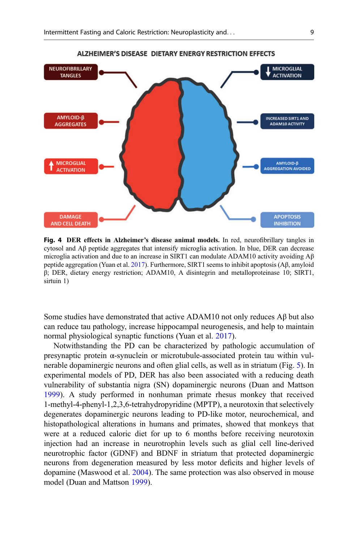<span id="page-8-0"></span>

Fig. 4 DER effects in Alzheimer's disease animal models. In red, neurofibrillary tangles in cytosol and Aβ peptide aggregates that intensify microglia activation. In blue, DER can decrease microglia activation and due to an increase in SIRT1 can modulate ADAM10 activity avoiding  $A\beta$ peptide aggregation (Yuan et al. [2017\)](#page-17-0). Furthermore, SIRT1 seems to inhibit apoptosis (Aβ, amyloid β; DER, dietary energy restriction; ADAM10, A disintegrin and metalloproteinase 10; SIRT1, sirtuin 1)

Some studies have demonstrated that active ADAM10 not only reduces  $\beta \beta$  but also can reduce tau pathology, increase hippocampal neurogenesis, and help to maintain normal physiological synaptic functions (Yuan et al. [2017\)](#page-17-0).

Notwithstanding the PD can be characterized by pathologic accumulation of presynaptic protein α-synuclein or microtubule-associated protein tau within vulnerable dopaminergic neurons and often glial cells, as well as in striatum (Fig. [5](#page-9-0)). In experimental models of PD, DER has also been associated with a reducing death vulnerability of substantia nigra (SN) dopaminergic neurons (Duan and Mattson [1999\)](#page-14-0). A study performed in nonhuman primate rhesus monkey that received 1-methyl-4-phenyl-1,2,3,6-tetrahydropyridine (MPTP), a neurotoxin that selectively degenerates dopaminergic neurons leading to PD-like motor, neurochemical, and histopathological alterations in humans and primates, showed that monkeys that were at a reduced caloric diet for up to 6 months before receiving neurotoxin injection had an increase in neurotrophin levels such as glial cell line-derived neurotrophic factor (GDNF) and BDNF in striatum that protected dopaminergic neurons from degeneration measured by less motor deficits and higher levels of dopamine (Maswood et al. [2004](#page-16-0)). The same protection was also observed in mouse model (Duan and Mattson [1999](#page-14-0)).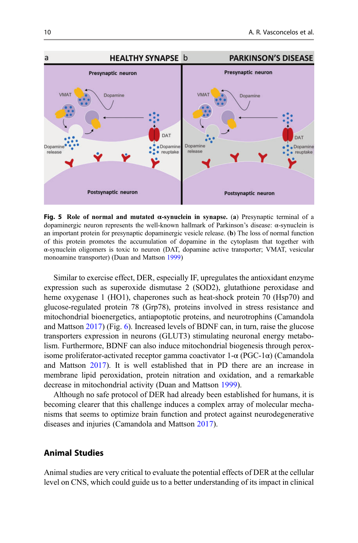<span id="page-9-0"></span>

**Fig. 5** Role of normal and mutated α-synuclein in synapse. (a) Presynaptic terminal of a dopaminergic neuron represents the well-known hallmark of Parkinson's disease: α-synuclein is an important protein for presynaptic dopaminergic vesicle release. (b) The loss of normal function of this protein promotes the accumulation of dopamine in the cytoplasm that together with α-synuclein oligomers is toxic to neuron (DAT, dopamine active transporter; VMAT, vesicular monoamine transporter) (Duan and Mattson [1999\)](#page-14-0)

Similar to exercise effect, DER, especially IF, upregulates the antioxidant enzyme expression such as superoxide dismutase 2 (SOD2), glutathione peroxidase and heme oxygenase 1 (HO1), chaperones such as heat-shock protein 70 (Hsp70) and glucose-regulated protein 78 (Grp78), proteins involved in stress resistance and mitochondrial bioenergetics, antiapoptotic proteins, and neurotrophins (Camandola and Mattson [2017](#page-14-0)) (Fig. [6](#page-10-0)). Increased levels of BDNF can, in turn, raise the glucose transporters expression in neurons (GLUT3) stimulating neuronal energy metabolism. Furthermore, BDNF can also induce mitochondrial biogenesis through peroxisome proliferator-activated receptor gamma coactivator  $1-\alpha$  (PGC-1 $\alpha$ ) (Camandola and Mattson [2017\)](#page-14-0). It is well established that in PD there are an increase in membrane lipid peroxidation, protein nitration and oxidation, and a remarkable decrease in mitochondrial activity (Duan and Mattson [1999](#page-14-0)).

Although no safe protocol of DER had already been established for humans, it is becoming clearer that this challenge induces a complex array of molecular mechanisms that seems to optimize brain function and protect against neurodegenerative diseases and injuries (Camandola and Mattson [2017\)](#page-14-0).

## Animal Studies

Animal studies are very critical to evaluate the potential effects of DER at the cellular level on CNS, which could guide us to a better understanding of its impact in clinical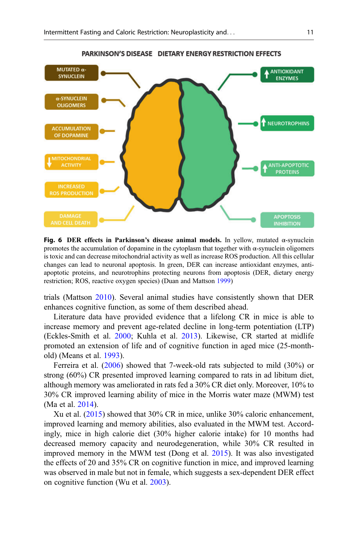<span id="page-10-0"></span>

Fig. 6 DER effects in Parkinson's disease animal models. In yellow, mutated α-synuclein promotes the accumulation of dopamine in the cytoplasm that together with α-synuclein oligomers is toxic and can decrease mitochondrial activity as well as increase ROS production. All this cellular changes can lead to neuronal apoptosis. In green, DER can increase antioxidant enzymes, antiapoptotic proteins, and neurotrophins protecting neurons from apoptosis (DER, dietary energy restriction; ROS, reactive oxygen species) (Duan and Mattson [1999](#page-14-0))

trials (Mattson [2010](#page-16-0)). Several animal studies have consistently shown that DER enhances cognitive function, as some of them described ahead.

Literature data have provided evidence that a lifelong CR in mice is able to increase memory and prevent age-related decline in long-term potentiation (LTP) (Eckles-Smith et al. [2000;](#page-14-0) Kuhla et al. [2013\)](#page-15-0). Likewise, CR started at midlife promoted an extension of life and of cognitive function in aged mice (25-monthold) (Means et al. [1993](#page-16-0)).

Ferreira et al. ([2006\)](#page-14-0) showed that 7-week-old rats subjected to mild (30%) or strong (60%) CR presented improved learning compared to rats in ad libitum diet, although memory was ameliorated in rats fed a 30% CR diet only. Moreover, 10% to 30% CR improved learning ability of mice in the Morris water maze (MWM) test (Ma et al. [2014](#page-16-0)).

Xu et al. ([2015\)](#page-17-0) showed that 30% CR in mice, unlike 30% caloric enhancement, improved learning and memory abilities, also evaluated in the MWM test. Accordingly, mice in high calorie diet (30% higher calorie intake) for 10 months had decreased memory capacity and neurodegeneration, while 30% CR resulted in improved memory in the MWM test (Dong et al. [2015](#page-14-0)). It was also investigated the effects of 20 and 35% CR on cognitive function in mice, and improved learning was observed in male but not in female, which suggests a sex-dependent DER effect on cognitive function (Wu et al. [2003](#page-17-0)).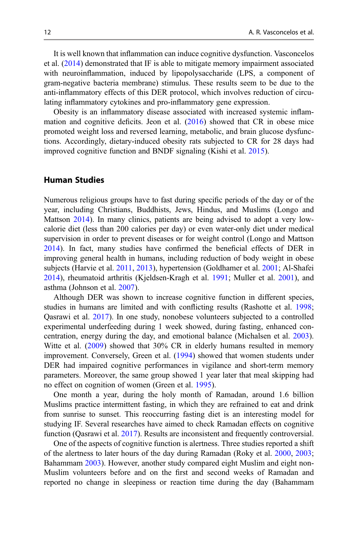It is well known that inflammation can induce cognitive dysfunction. Vasconcelos et al. ([2014\)](#page-17-0) demonstrated that IF is able to mitigate memory impairment associated with neuroinflammation, induced by lipopolysaccharide (LPS, a component of gram-negative bacteria membrane) stimulus. These results seem to be due to the anti-inflammatory effects of this DER protocol, which involves reduction of circulating inflammatory cytokines and pro-inflammatory gene expression.

Obesity is an inflammatory disease associated with increased systemic inflammation and cognitive deficits. Jeon et al. [\(2016](#page-15-0)) showed that CR in obese mice promoted weight loss and reversed learning, metabolic, and brain glucose dysfunctions. Accordingly, dietary-induced obesity rats subjected to CR for 28 days had improved cognitive function and BNDF signaling (Kishi et al. [2015](#page-15-0)).

#### Human Studies

Numerous religious groups have to fast during specific periods of the day or of the year, including Christians, Buddhists, Jews, Hindus, and Muslims (Longo and Mattson [2014](#page-16-0)). In many clinics, patients are being advised to adopt a very lowcalorie diet (less than 200 calories per day) or even water-only diet under medical supervision in order to prevent diseases or for weight control (Longo and Mattson [2014\)](#page-16-0). In fact, many studies have confirmed the beneficial effects of DER in improving general health in humans, including reduction of body weight in obese subjects (Harvie et al. [2011,](#page-15-0) [2013\)](#page-15-0), hypertension (Goldhamer et al. [2001;](#page-15-0) Al-Shafei [2014\)](#page-14-0), rheumatoid arthritis (Kjeldsen-Kragh et al. [1991;](#page-15-0) Muller et al. [2001\)](#page-16-0), and asthma (Johnson et al. [2007](#page-15-0)).

Although DER was shown to increase cognitive function in different species, studies in humans are limited and with conflicting results (Rashotte et al. [1998;](#page-16-0) Qasrawi et al. [2017\)](#page-16-0). In one study, nonobese volunteers subjected to a controlled experimental underfeeding during 1 week showed, during fasting, enhanced concentration, energy during the day, and emotional balance (Michalsen et al. [2003\)](#page-16-0). Witte et al. [\(2009](#page-17-0)) showed that 30% CR in elderly humans resulted in memory improvement. Conversely, Green et al. ([1994](#page-15-0)) showed that women students under DER had impaired cognitive performances in vigilance and short-term memory parameters. Moreover, the same group showed 1 year later that meal skipping had no effect on cognition of women (Green et al. [1995\)](#page-15-0).

One month a year, during the holy month of Ramadan, around 1.6 billion Muslims practice intermittent fasting, in which they are refrained to eat and drink from sunrise to sunset. This reoccurring fasting diet is an interesting model for studying IF. Several researches have aimed to check Ramadan effects on cognitive function (Qasrawi et al. [2017\)](#page-16-0). Results are inconsistent and frequently controversial.

One of the aspects of cognitive function is alertness. Three studies reported a shift of the alertness to later hours of the day during Ramadan (Roky et al. [2000](#page-16-0), [2003;](#page-16-0) Bahammam [2003](#page-14-0)). However, another study compared eight Muslim and eight non-Muslim volunteers before and on the first and second weeks of Ramadan and reported no change in sleepiness or reaction time during the day (Bahammam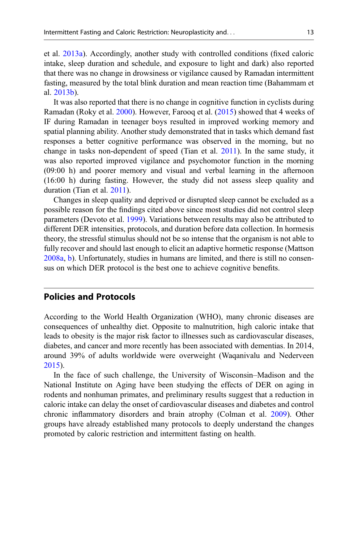et al. [2013a\)](#page-14-0). Accordingly, another study with controlled conditions (fixed caloric intake, sleep duration and schedule, and exposure to light and dark) also reported that there was no change in drowsiness or vigilance caused by Ramadan intermittent fasting, measured by the total blink duration and mean reaction time (Bahammam et al. [2013b](#page-14-0)).

It was also reported that there is no change in cognitive function in cyclists during Ramadan (Roky et al. [2000\)](#page-16-0). However, Farooq et al. ([2015\)](#page-14-0) showed that 4 weeks of IF during Ramadan in teenager boys resulted in improved working memory and spatial planning ability. Another study demonstrated that in tasks which demand fast responses a better cognitive performance was observed in the morning, but no change in tasks non-dependent of speed (Tian et al. [2011](#page-16-0)). In the same study, it was also reported improved vigilance and psychomotor function in the morning (09:00 h) and poorer memory and visual and verbal learning in the afternoon (16:00 h) during fasting. However, the study did not assess sleep quality and duration (Tian et al. [2011](#page-16-0)).

Changes in sleep quality and deprived or disrupted sleep cannot be excluded as a possible reason for the findings cited above since most studies did not control sleep parameters (Devoto et al. [1999](#page-14-0)). Variations between results may also be attributed to different DER intensities, protocols, and duration before data collection. In hormesis theory, the stressful stimulus should not be so intense that the organism is not able to fully recover and should last enough to elicit an adaptive hormetic response (Mattson [2008a](#page-16-0), [b](#page-16-0)). Unfortunately, studies in humans are limited, and there is still no consensus on which DER protocol is the best one to achieve cognitive benefits.

#### Policies and Protocols

According to the World Health Organization (WHO), many chronic diseases are consequences of unhealthy diet. Opposite to malnutrition, high caloric intake that leads to obesity is the major risk factor to illnesses such as cardiovascular diseases, diabetes, and cancer and more recently has been associated with dementias. In 2014, around 39% of adults worldwide were overweight (Waqanivalu and Nederveen [2015\)](#page-17-0).

In the face of such challenge, the University of Wisconsin–Madison and the National Institute on Aging have been studying the effects of DER on aging in rodents and nonhuman primates, and preliminary results suggest that a reduction in caloric intake can delay the onset of cardiovascular diseases and diabetes and control chronic inflammatory disorders and brain atrophy (Colman et al. [2009\)](#page-14-0). Other groups have already established many protocols to deeply understand the changes promoted by caloric restriction and intermittent fasting on health.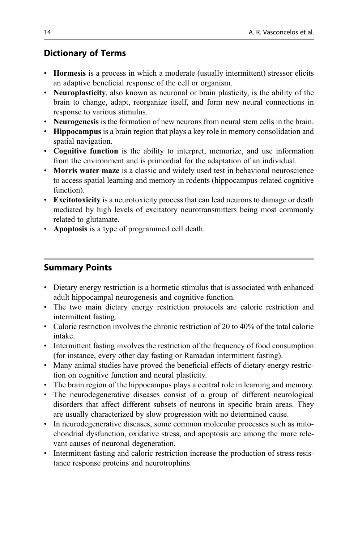# Dictionary of Terms

- **Hormesis** is a process in which a moderate (usually intermittent) stressor elicits an adaptive beneficial response of the cell or organism.
- Neuroplasticity, also known as neuronal or brain plasticity, is the ability of the brain to change, adapt, reorganize itself, and form new neural connections in response to various stimulus.
- Neurogenesis is the formation of new neurons from neural stem cells in the brain.
- Hippocampus is a brain region that plays a key role in memory consolidation and spatial navigation.
- Cognitive function is the ability to interpret, memorize, and use information from the environment and is primordial for the adaptation of an individual.
- Morris water maze is a classic and widely used test in behavioral neuroscience to access spatial learning and memory in rodents (hippocampus-related cognitive function).
- Excitotoxicity is a neurotoxicity process that can lead neurons to damage or death mediated by high levels of excitatory neurotransmitters being most commonly related to glutamate.
- Apoptosis is a type of programmed cell death.

# Summary Points

- Dietary energy restriction is a hormetic stimulus that is associated with enhanced adult hippocampal neurogenesis and cognitive function.
- The two main dietary energy restriction protocols are caloric restriction and intermittent fasting.
- Caloric restriction involves the chronic restriction of 20 to 40% of the total calorie intake.
- Intermittent fasting involves the restriction of the frequency of food consumption (for instance, every other day fasting or Ramadan intermittent fasting).
- Many animal studies have proved the beneficial effects of dietary energy restriction on cognitive function and neural plasticity.
- The brain region of the hippocampus plays a central role in learning and memory.
- The neurodegenerative diseases consist of a group of different neurological disorders that affect different subsets of neurons in specific brain areas. They are usually characterized by slow progression with no determined cause.
- In neurodegenerative diseases, some common molecular processes such as mitochondrial dysfunction, oxidative stress, and apoptosis are among the more relevant causes of neuronal degeneration.
- Intermittent fasting and caloric restriction increase the production of stress resistance response proteins and neurotrophins.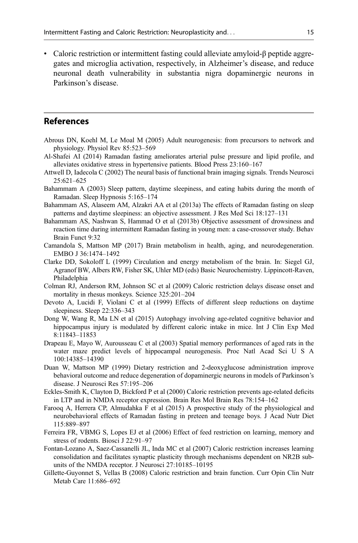<span id="page-14-0"></span>• Caloric restriction or intermittent fasting could alleviate amyloid-β peptide aggregates and microglia activation, respectively, in Alzheimer's disease, and reduce neuronal death vulnerability in substantia nigra dopaminergic neurons in Parkinson's disease.

#### References

- Abrous DN, Koehl M, Le Moal M (2005) Adult neurogenesis: from precursors to network and physiology. Physiol Rev 85:523–569
- Al-Shafei AI (2014) Ramadan fasting ameliorates arterial pulse pressure and lipid profile, and alleviates oxidative stress in hypertensive patients. Blood Press 23:160–167
- Attwell D, Iadecola C (2002) The neural basis of functional brain imaging signals. Trends Neurosci 25:621–625
- Bahammam A (2003) Sleep pattern, daytime sleepiness, and eating habits during the month of Ramadan. Sleep Hypnosis 5:165–174
- Bahammam AS, Alaseem AM, Alzakri AA et al (2013a) The effects of Ramadan fasting on sleep patterns and daytime sleepiness: an objective assessment. J Res Med Sci 18:127–131
- Bahammam AS, Nashwan S, Hammad O et al (2013b) Objective assessment of drowsiness and reaction time during intermittent Ramadan fasting in young men: a case-crossover study. Behav Brain Funct 9:32
- Camandola S, Mattson MP (2017) Brain metabolism in health, aging, and neurodegeneration. EMBO J 36:1474–1492
- Clarke DD, Sokoloff L (1999) Circulation and energy metabolism of the brain. In: Siegel GJ, Agranof BW, Albers RW, Fisher SK, Uhler MD (eds) Basic Neurochemistry. Lippincott-Raven, Philadelphia
- Colman RJ, Anderson RM, Johnson SC et al (2009) Caloric restriction delays disease onset and mortality in rhesus monkeys. Science 325:201–204
- Devoto A, Lucidi F, Violani C et al (1999) Effects of different sleep reductions on daytime sleepiness. Sleep 22:336–343
- Dong W, Wang R, Ma LN et al (2015) Autophagy involving age-related cognitive behavior and hippocampus injury is modulated by different caloric intake in mice. Int J Clin Exp Med 8:11843–11853
- Drapeau E, Mayo W, Aurousseau C et al (2003) Spatial memory performances of aged rats in the water maze predict levels of hippocampal neurogenesis. Proc Natl Acad Sci U S A 100:14385–14390
- Duan W, Mattson MP (1999) Dietary restriction and 2-deoxyglucose administration improve behavioral outcome and reduce degeneration of dopaminergic neurons in models of Parkinson's disease. J Neurosci Res 57:195–206
- Eckles-Smith K, Clayton D, Bickford P et al (2000) Caloric restriction prevents age-related deficits in LTP and in NMDA receptor expression. Brain Res Mol Brain Res 78:154–162
- Farooq A, Herrera CP, Almudahka F et al (2015) A prospective study of the physiological and neurobehavioral effects of Ramadan fasting in preteen and teenage boys. J Acad Nutr Diet 115:889–897
- Ferreira FR, VBMG S, Lopes EJ et al (2006) Effect of feed restriction on learning, memory and stress of rodents. Biosci J 22:91–97
- Fontan-Lozano A, Saez-Cassanelli JL, Inda MC et al (2007) Caloric restriction increases learning consolidation and facilitates synaptic plasticity through mechanisms dependent on NR2B subunits of the NMDA receptor. J Neurosci 27:10185–10195
- Gillette-Guyonnet S, Vellas B (2008) Caloric restriction and brain function. Curr Opin Clin Nutr Metab Care 11:686–692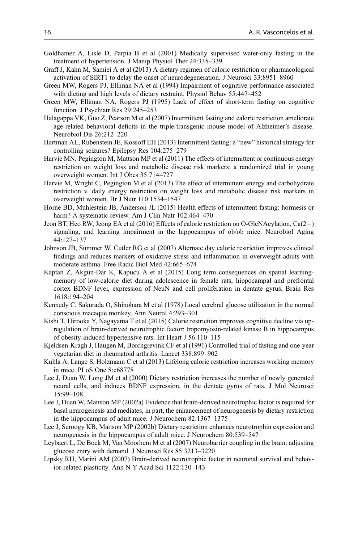- <span id="page-15-0"></span>Goldhamer A, Lisle D, Parpia B et al (2001) Medically supervised water-only fasting in the treatment of hypertension. J Manip Physiol Ther 24:335–339
- Graff J, Kahn M, Samiei A et al (2013) A dietary regimen of caloric restriction or pharmacological activation of SIRT1 to delay the onset of neurodegeneration. J Neurosci 33:8951–8960
- Green MW, Rogers PJ, Elliman NA et al (1994) Impairment of cognitive performance associated with dieting and high levels of dietary restraint. Physiol Behav 55:447–452
- Green MW, Elliman NA, Rogers PJ (1995) Lack of effect of short-term fasting on cognitive function. J Psychiatr Res 29:245–253
- Halagappa VK, Guo Z, Pearson M et al (2007) Intermittent fasting and caloric restriction ameliorate age-related behavioral deficits in the triple-transgenic mouse model of Alzheimer's disease. Neurobiol Dis 26:212–220
- Hartman AL, Rubenstein JE, Kossoff EH (2013) Intermittent fasting: a "new" historical strategy for controlling seizures? Epilepsy Res 104:275–279
- Harvie MN, Pegington M, Mattson MP et al (2011) The effects of intermittent or continuous energy restriction on weight loss and metabolic disease risk markers: a randomized trial in young overweight women. Int J Obes 35:714–727
- Harvie M, Wright C, Pegington M et al (2013) The effect of intermittent energy and carbohydrate restriction v. daily energy restriction on weight loss and metabolic disease risk markers in overweight women. Br J Nutr 110:1534–1547
- Horne BD, Muhlestein JB, Anderson JL (2015) Health effects of intermittent fasting: hormesis or harm? A systematic review. Am J Clin Nutr 102:464–470
- Jeon BT, Heo RW, Jeong EA et al (2016) Effects of caloric restriction on O-GlcNAcylation,  $Ca(2+)$ signaling, and learning impairment in the hippocampus of ob/ob mice. Neurobiol Aging 44:127–137
- Johnson JB, Summer W, Cutler RG et al (2007) Alternate day calorie restriction improves clinical findings and reduces markers of oxidative stress and inflammation in overweight adults with moderate asthma. Free Radic Biol Med 42:665–674
- Kaptan Z, Akgun-Dar K, Kapucu A et al (2015) Long term consequences on spatial learningmemory of low-calorie diet during adolescence in female rats; hippocampal and prefrontal cortex BDNF level, expression of NeuN and cell proliferation in dentate gyrus. Brain Res 1618:194–204
- Kennedy C, Sakurada O, Shinohara M et al (1978) Local cerebral glucose utilization in the normal conscious macaque monkey. Ann Neurol 4:293–301
- Kishi T, Hirooka Y, Nagayama T et al (2015) Calorie restriction improves cognitive decline via upregulation of brain-derived neurotrophic factor: tropomyosin-related kinase B in hippocampus of obesity-induced hypertensive rats. Int Heart J 56:110–115
- Kjeldsen-Kragh J, Haugen M, Borchgrevink CF et al (1991) Controlled trial of fasting and one-year vegetarian diet in rheumatoid arthritis. Lancet 338:899–902
- Kuhla A, Lange S, Holzmann C et al (2013) Lifelong caloric restriction increases working memory in mice. PLoS One 8:e68778
- Lee J, Duan W, Long JM et al (2000) Dietary restriction increases the number of newly generated neural cells, and induces BDNF expression, in the dentate gyrus of rats. J Mol Neurosci 15:99–108
- Lee J, Duan W, Mattson MP (2002a) Evidence that brain-derived neurotrophic factor is required for basal neurogenesis and mediates, in part, the enhancement of neurogenesis by dietary restriction in the hippocampus of adult mice. J Neurochem 82:1367–1375
- Lee J, Seroogy KB, Mattson MP (2002b) Dietary restriction enhances neurotrophin expression and neurogenesis in the hippocampus of adult mice. J Neurochem 80:539–547
- Leybaert L, De Bock M, Van Moorhem M et al (2007) Neurobarrier coupling in the brain: adjusting glucose entry with demand. J Neurosci Res 85:3213–3220
- Lipsky RH, Marini AM (2007) Brain-derived neurotrophic factor in neuronal survival and behavior-related plasticity. Ann N Y Acad Sci 1122:130–143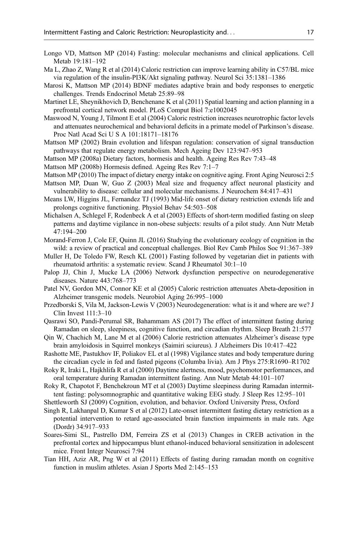- <span id="page-16-0"></span>Longo VD, Mattson MP (2014) Fasting: molecular mechanisms and clinical applications. Cell Metab 19:181–192
- Ma L, Zhao Z, Wang R et al (2014) Caloric restriction can improve learning ability in C57/BL mice via regulation of the insulin-PI3K/Akt signaling pathway. Neurol Sci 35:1381–1386
- Marosi K, Mattson MP (2014) BDNF mediates adaptive brain and body responses to energetic challenges. Trends Endocrinol Metab 25:89–98
- Martinet LE, Sheynikhovich D, Benchenane K et al (2011) Spatial learning and action planning in a prefrontal cortical network model. PLoS Comput Biol 7:e1002045
- Maswood N, Young J, Tilmont E et al (2004) Caloric restriction increases neurotrophic factor levels and attenuates neurochemical and behavioral deficits in a primate model of Parkinson's disease. Proc Natl Acad Sci U S A 101:18171–18176
- Mattson MP (2002) Brain evolution and lifespan regulation: conservation of signal transduction pathways that regulate energy metabolism. Mech Ageing Dev 123:947–953
- Mattson MP (2008a) Dietary factors, hormesis and health. Ageing Res Rev 7:43–48
- Mattson MP (2008b) Hormesis defined. Ageing Res Rev 7:1–7
- Mattson MP (2010) The impact of dietary energy intake on cognitive aging. Front Aging Neurosci 2:5
- Mattson MP, Duan W, Guo Z (2003) Meal size and frequency affect neuronal plasticity and vulnerability to disease: cellular and molecular mechanisms. J Neurochem 84:417–431
- Means LW, Higgins JL, Fernandez TJ (1993) Mid-life onset of dietary restriction extends life and prolongs cognitive functioning. Physiol Behav 54:503–508
- Michalsen A, Schlegel F, Rodenbeck A et al (2003) Effects of short-term modified fasting on sleep patterns and daytime vigilance in non-obese subjects: results of a pilot study. Ann Nutr Metab 47:194–200
- Morand-Ferron J, Cole EF, Quinn JL (2016) Studying the evolutionary ecology of cognition in the wild: a review of practical and conceptual challenges. Biol Rev Camb Philos Soc 91:367–389
- Muller H, De Toledo FW, Resch KL (2001) Fasting followed by vegetarian diet in patients with rheumatoid arthritis: a systematic review. Scand J Rheumatol 30:1–10
- Palop JJ, Chin J, Mucke LA (2006) Network dysfunction perspective on neurodegenerative diseases. Nature 443:768–773
- Patel NV, Gordon MN, Connor KE et al (2005) Caloric restriction attenuates Abeta-deposition in Alzheimer transgenic models. Neurobiol Aging 26:995–1000
- Przedborski S, Vila M, Jackson-Lewis V (2003) Neurodegeneration: what is it and where are we? J Clin Invest 111:3–10
- Qasrawi SO, Pandi-Perumal SR, Bahammam AS (2017) The effect of intermittent fasting during Ramadan on sleep, sleepiness, cognitive function, and circadian rhythm. Sleep Breath 21:577
- Qin W, Chachich M, Lane M et al (2006) Calorie restriction attenuates Alzheimer's disease type brain amyloidosis in Squirrel monkeys (Saimiri sciureus). J Alzheimers Dis 10:417–422
- Rashotte ME, Pastukhov IF, Poliakov EL et al (1998) Vigilance states and body temperature during the circadian cycle in fed and fasted pigeons (Columba livia). Am J Phys 275:R1690–R1702
- Roky R, Iraki L, Hajkhlifa R et al (2000) Daytime alertness, mood, psychomotor performances, and oral temperature during Ramadan intermittent fasting. Ann Nutr Metab 44:101–107
- Roky R, Chapotot F, Benchekroun MT et al (2003) Daytime sleepiness during Ramadan intermittent fasting: polysomnographic and quantitative waking EEG study. J Sleep Res 12:95–101
- Shettleworth SJ (2009) Cognition, evolution, and behavior. Oxford University Press, Oxford
- Singh R, Lakhanpal D, Kumar S et al (2012) Late-onset intermittent fasting dietary restriction as a potential intervention to retard age-associated brain function impairments in male rats. Age (Dordr) 34:917–933
- Soares-Simi SL, Pastrello DM, Ferreira ZS et al (2013) Changes in CREB activation in the prefrontal cortex and hippocampus blunt ethanol-induced behavioral sensitization in adolescent mice. Front Integr Neurosci 7:94
- Tian HH, Aziz AR, Png W et al (2011) Effects of fasting during ramadan month on cognitive function in muslim athletes. Asian J Sports Med 2:145–153